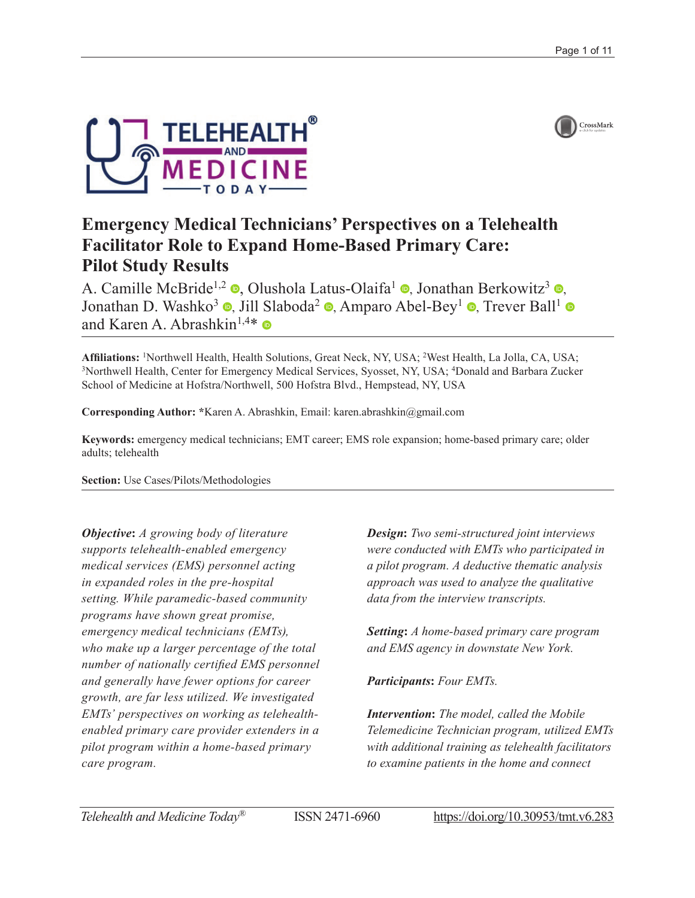



# **Emergency Medical Technicians' Perspectives on a Telehealth Facilitator Role to Expand Home-Based Primary Care: Pilot Study Results**

A. Camille McBride<sup>1[,](https://orcid.org/0000-0002-5572-7501)2</sup>  $\bullet$ , Olushola Latus-Olaifa<sup>1</sup>  $\bullet$ , Jonathan Berkowitz<sup>3</sup>  $\bullet$ , Jonathan D. Washko<sup>3</sup> **(b)**[,](https://orcid.org/0000-0003-2832-0236) Jill Slaboda<sup>2</sup> **(b)**, Amparo Abel-Bey<sup>1</sup> **(b)**, Trever Ball<sup>1</sup> **(b)** andKaren A. Abrashkin<sup>1,4\*</sup>

Affiliations: <sup>1</sup>Northwell Health, Health Solutions, Great Neck, NY, USA; <sup>2</sup>West Health, La Jolla, CA, USA; <sup>3</sup>Northwell Health, Center for Emergency Medical Services, Syosset, NY, USA; <sup>4</sup>Donald and Barbara Zucket Northwell Health, Center for Emergency Medical Services, Syosset, NY, USA; <sup>4</sup>Donald and Barbara Zucker School of Medicine at Hofstra/Northwell, 500 Hofstra Blvd., Hempstead, NY, USA

**Corresponding Author: \***Karen A. Abrashkin, Email: [karen.abrashkin@gmail.com](mailto:karen.abrashkin@gmail.com)

**Keywords:** emergency medical technicians; EMT career; EMS role expansion; home-based primary care; older adults; telehealth

**Section:** Use Cases/Pilots/Methodologies

*Objective***:** *A growing body of literature supports telehealth-enabled emergency medical services (EMS) personnel acting in expanded roles in the pre-hospital setting. While paramedic-based community programs have shown great promise, emergency medical technicians (EMTs), who make up a larger percentage of the total number of nationally certified EMS personnel and generally have fewer options for career growth, are far less utilized. We investigated EMTs' perspectives on working as telehealthenabled primary care provider extenders in a pilot program within a home-based primary care program.*

*Design***:** *Two semi-structured joint interviews were conducted with EMTs who participated in a pilot program. A deductive thematic analysis approach was used to analyze the qualitative data from the interview transcripts.*

*Setting***:** *A home-based primary care program and EMS agency in downstate New York.*

# *Participants***:** *Four EMTs.*

*Intervention***:** *The model, called the Mobile Telemedicine Technician program, utilized EMTs with additional training as telehealth facilitators to examine patients in the home and connect*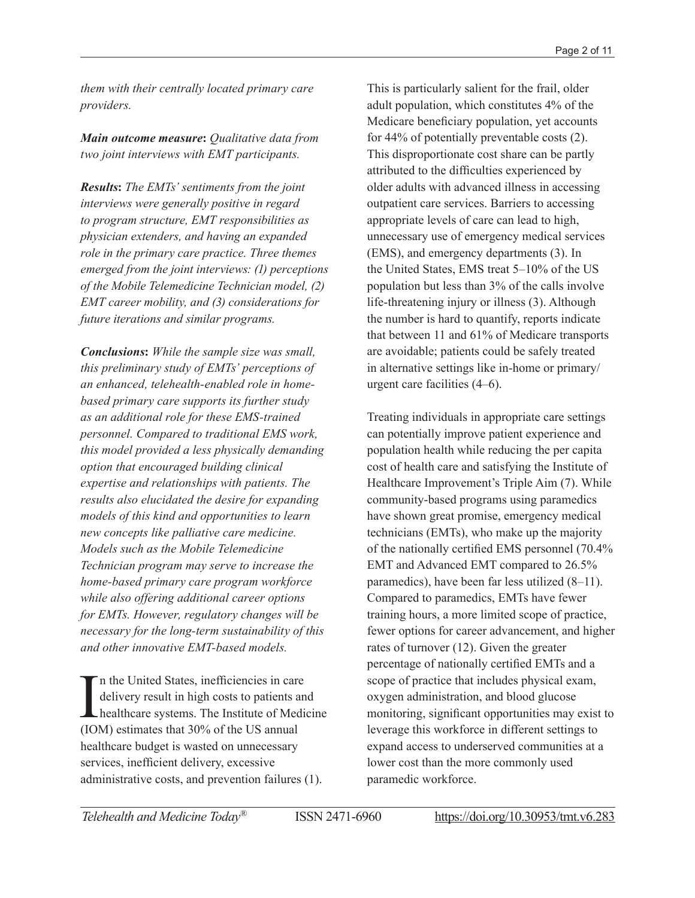*them with their centrally located primary care providers.*

*Main outcome measure***:** *Qualitative data from two joint interviews with EMT participants.*

*Results***:** *The EMTs' sentiments from the joint interviews were generally positive in regard to program structure, EMT responsibilities as physician extenders, and having an expanded role in the primary care practice. Three themes emerged from the joint interviews: (1) perceptions of the Mobile Telemedicine Technician model, (2) EMT career mobility, and (3) considerations for future iterations and similar programs.*

*Conclusions***:** *While the sample size was small, this preliminary study of EMTs' perceptions of an enhanced, telehealth-enabled role in homebased primary care supports its further study as an additional role for these EMS-trained personnel. Compared to traditional EMS work, this model provided a less physically demanding option that encouraged building clinical expertise and relationships with patients. The results also elucidated the desire for expanding models of this kind and opportunities to learn new concepts like palliative care medicine. Models such as the Mobile Telemedicine Technician program may serve to increase the home-based primary care program workforce while also offering additional career options for EMTs. However, regulatory changes will be necessary for the long-term sustainability of this and other innovative EMT-based models.*

In the United States, inefficiencies in care<br>delivery result in high costs to patients a<br>healthcare systems. The Institute of Med<br>(IOM) estimates that 30% of the US annual n the United States, inefficiencies in care delivery result in high costs to patients and healthcare systems. The Institute of Medicine healthcare budget is wasted on unnecessary services, inefficient delivery, excessive administrative costs, and prevention failures (1).

This is particularly salient for the frail, older adult population, which constitutes 4% of the Medicare beneficiary population, yet accounts for 44% of potentially preventable costs (2). This disproportionate cost share can be partly attributed to the difficulties experienced by older adults with advanced illness in accessing outpatient care services. Barriers to accessing appropriate levels of care can lead to high, unnecessary use of emergency medical services (EMS), and emergency departments (3). In the United States, EMS treat 5–10% of the US population but less than 3% of the calls involve life-threatening injury or illness (3). Although the number is hard to quantify, reports indicate that between 11 and 61% of Medicare transports are avoidable; patients could be safely treated in alternative settings like in-home or primary/ urgent care facilities (4–6).

Treating individuals in appropriate care settings can potentially improve patient experience and population health while reducing the per capita cost of health care and satisfying the Institute of Healthcare Improvement's Triple Aim (7). While community-based programs using paramedics have shown great promise, emergency medical technicians (EMTs), who make up the majority of the nationally certified EMS personnel (70.4% EMT and Advanced EMT compared to 26.5% paramedics), have been far less utilized (8–11). Compared to paramedics, EMTs have fewer training hours, a more limited scope of practice, fewer options for career advancement, and higher rates of turnover (12). Given the greater percentage of nationally certified EMTs and a scope of practice that includes physical exam, oxygen administration, and blood glucose monitoring, significant opportunities may exist to leverage this workforce in different settings to expand access to underserved communities at a lower cost than the more commonly used paramedic workforce.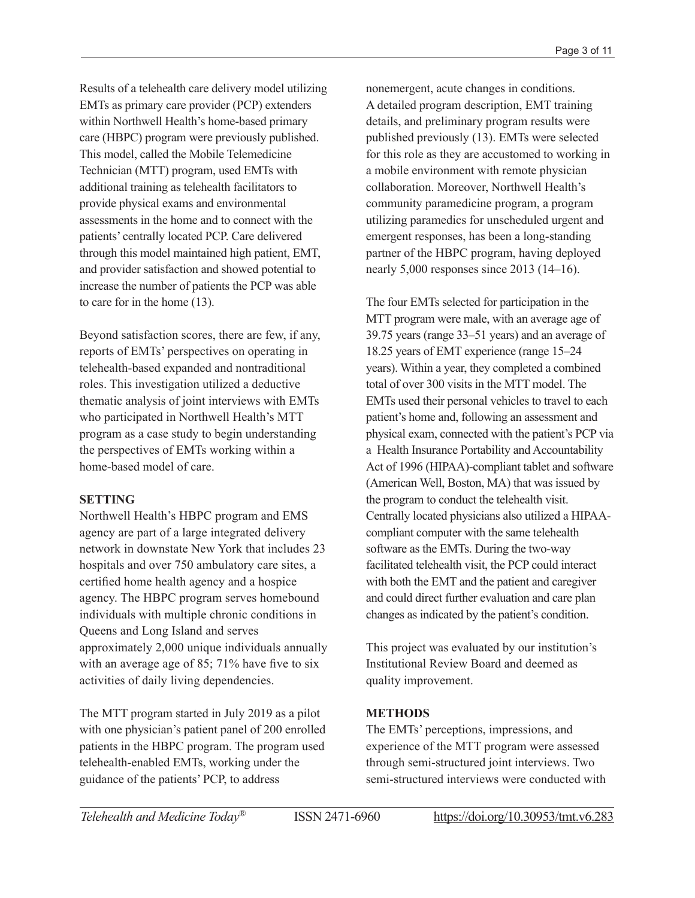Results of a telehealth care delivery model utilizing EMTs as primary care provider (PCP) extenders within Northwell Health's home-based primary care (HBPC) program were previously published. This model, called the Mobile Telemedicine Technician (MTT) program, used EMTs with additional training as telehealth facilitators to provide physical exams and environmental assessments in the home and to connect with the patients' centrally located PCP. Care delivered through this model maintained high patient, EMT, and provider satisfaction and showed potential to increase the number of patients the PCP was able to care for in the home (13).

Beyond satisfaction scores, there are few, if any, reports of EMTs' perspectives on operating in telehealth-based expanded and nontraditional roles. This investigation utilized a deductive thematic analysis of joint interviews with EMTs who participated in Northwell Health's MTT program as a case study to begin understanding the perspectives of EMTs working within a home-based model of care.

# **SETTING**

Northwell Health's HBPC program and EMS agency are part of a large integrated delivery network in downstate New York that includes 23 hospitals and over 750 ambulatory care sites, a certified home health agency and a hospice agency. The HBPC program serves homebound individuals with multiple chronic conditions in Queens and Long Island and serves approximately 2,000 unique individuals annually with an average age of 85; 71% have five to six activities of daily living dependencies.

The MTT program started in July 2019 as a pilot with one physician's patient panel of 200 enrolled patients in the HBPC program. The program used telehealth-enabled EMTs, working under the guidance of the patients' PCP, to address

nonemergent, acute changes in conditions. A detailed program description, EMT training details, and preliminary program results were published previously (13). EMTs were selected for this role as they are accustomed to working in a mobile environment with remote physician collaboration. Moreover, Northwell Health's community paramedicine program, a program utilizing paramedics for unscheduled urgent and emergent responses, has been a long-standing partner of the HBPC program, having deployed nearly 5,000 responses since 2013 (14–16).

The four EMTs selected for participation in the MTT program were male, with an average age of 39.75 years (range 33–51 years) and an average of 18.25 years of EMT experience (range 15–24 years). Within a year, they completed a combined total of over 300 visits in the MTT model. The EMTs used their personal vehicles to travel to each patient's home and, following an assessment and physical exam, connected with the patient's PCP via a Health Insurance Portability and Accountability Act of 1996 (HIPAA)-compliant tablet and software (American Well, Boston, MA) that was issued by the program to conduct the telehealth visit. Centrally located physicians also utilized a HIPAAcompliant computer with the same telehealth software as the EMTs. During the two-way facilitated telehealth visit, the PCP could interact with both the EMT and the patient and caregiver and could direct further evaluation and care plan changes as indicated by the patient's condition.

This project was evaluated by our institution's Institutional Review Board and deemed as quality improvement.

# **METHODS**

The EMTs' perceptions, impressions, and experience of the MTT program were assessed through semi-structured joint interviews. Two semi-structured interviews were conducted with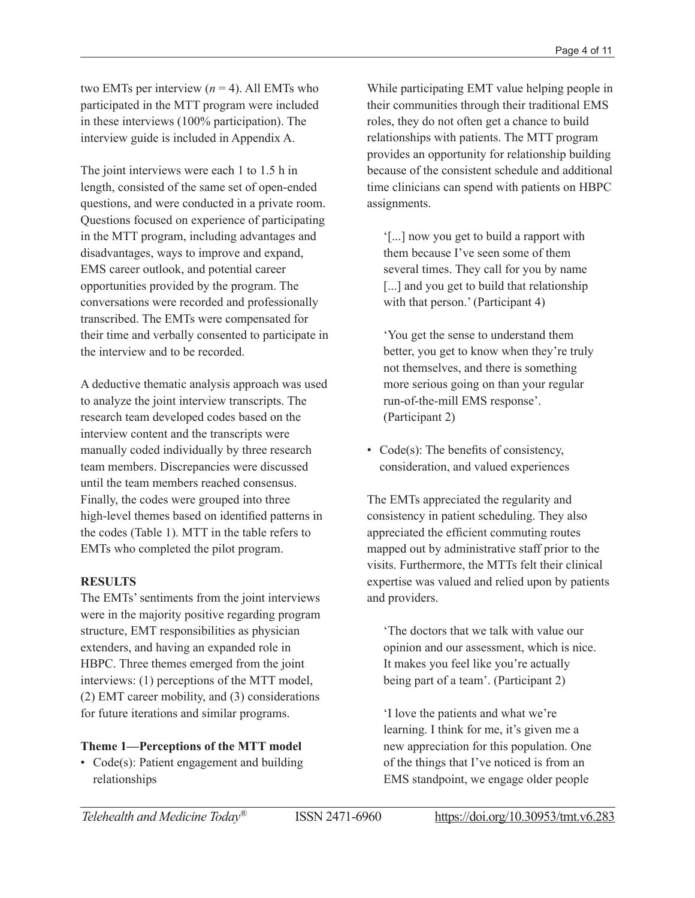two EMTs per interview  $(n = 4)$ . All EMTs who participated in the MTT program were included in these interviews (100% participation). The interview guide is included in Appendix A.

The joint interviews were each 1 to 1.5 h in length, consisted of the same set of open-ended questions, and were conducted in a private room. Questions focused on experience of participating in the MTT program, including advantages and disadvantages, ways to improve and expand, EMS career outlook, and potential career opportunities provided by the program. The conversations were recorded and professionally transcribed. The EMTs were compensated for their time and verbally consented to participate in the interview and to be recorded.

A deductive thematic analysis approach was used to analyze the joint interview transcripts. The research team developed codes based on the interview content and the transcripts were manually coded individually by three research team members. Discrepancies were discussed until the team members reached consensus. Finally, the codes were grouped into three high-level themes based on identified patterns in the codes (Table 1). MTT in the table refers to EMTs who completed the pilot program.

# **RESULTS**

The EMTs' sentiments from the joint interviews were in the majority positive regarding program structure, EMT responsibilities as physician extenders, and having an expanded role in HBPC. Three themes emerged from the joint interviews: (1) perceptions of the MTT model, (2) EMT career mobility, and (3) considerations for future iterations and similar programs.

# **Theme 1—Perceptions of the MTT model**

• Code(s): Patient engagement and building relationships

While participating EMT value helping people in their communities through their traditional EMS roles, they do not often get a chance to build relationships with patients. The MTT program provides an opportunity for relationship building because of the consistent schedule and additional time clinicians can spend with patients on HBPC assignments.

'[...] now you get to build a rapport with them because I've seen some of them several times. They call for you by name [...] and you get to build that relationship with that person.' (Participant 4)

'You get the sense to understand them better, you get to know when they're truly not themselves, and there is something more serious going on than your regular run-of-the-mill EMS response'. (Participant 2)

• Code(s): The benefits of consistency, consideration, and valued experiences

The EMTs appreciated the regularity and consistency in patient scheduling. They also appreciated the efficient commuting routes mapped out by administrative staff prior to the visits. Furthermore, the MTTs felt their clinical expertise was valued and relied upon by patients and providers.

'The doctors that we talk with value our opinion and our assessment, which is nice. It makes you feel like you're actually being part of a team'. (Participant 2)

'I love the patients and what we're learning. I think for me, it's given me a new appreciation for this population. One of the things that I've noticed is from an EMS standpoint, we engage older people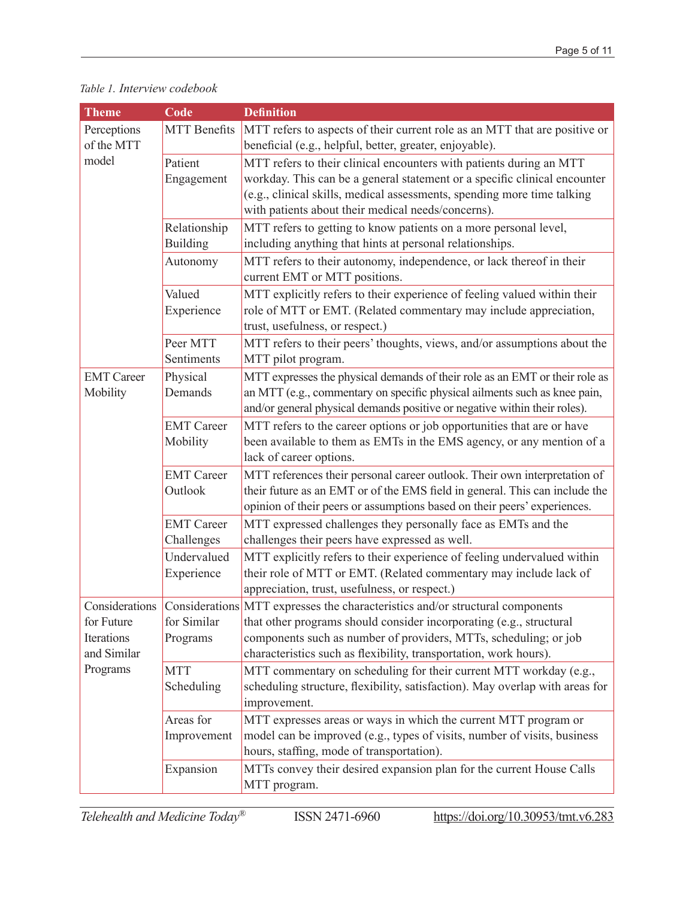#### *Table 1. Interview codebook*

| <b>Theme</b>                                        | Code                            | <b>Definition</b>                                                                                                                                                                                                                                                                                            |
|-----------------------------------------------------|---------------------------------|--------------------------------------------------------------------------------------------------------------------------------------------------------------------------------------------------------------------------------------------------------------------------------------------------------------|
| Perceptions                                         | <b>MTT</b> Benefits             | MTT refers to aspects of their current role as an MTT that are positive or                                                                                                                                                                                                                                   |
| of the MTT                                          |                                 | beneficial (e.g., helpful, better, greater, enjoyable).                                                                                                                                                                                                                                                      |
| model                                               | Patient<br>Engagement           | MTT refers to their clinical encounters with patients during an MTT<br>workday. This can be a general statement or a specific clinical encounter<br>(e.g., clinical skills, medical assessments, spending more time talking<br>with patients about their medical needs/concerns).                            |
|                                                     | Relationship<br><b>Building</b> | MTT refers to getting to know patients on a more personal level,<br>including anything that hints at personal relationships.                                                                                                                                                                                 |
|                                                     | Autonomy                        | MTT refers to their autonomy, independence, or lack thereof in their<br>current EMT or MTT positions.                                                                                                                                                                                                        |
|                                                     | Valued<br>Experience            | MTT explicitly refers to their experience of feeling valued within their<br>role of MTT or EMT. (Related commentary may include appreciation,<br>trust, usefulness, or respect.)                                                                                                                             |
|                                                     | Peer MTT<br>Sentiments          | MTT refers to their peers' thoughts, views, and/or assumptions about the<br>MTT pilot program.                                                                                                                                                                                                               |
| <b>EMT</b> Career<br>Mobility                       | Physical<br>Demands             | MTT expresses the physical demands of their role as an EMT or their role as<br>an MTT (e.g., commentary on specific physical ailments such as knee pain,<br>and/or general physical demands positive or negative within their roles).                                                                        |
|                                                     | <b>EMT</b> Career<br>Mobility   | MTT refers to the career options or job opportunities that are or have<br>been available to them as EMTs in the EMS agency, or any mention of a<br>lack of career options.                                                                                                                                   |
|                                                     | <b>EMT</b> Career<br>Outlook    | MTT references their personal career outlook. Their own interpretation of<br>their future as an EMT or of the EMS field in general. This can include the<br>opinion of their peers or assumptions based on their peers' experiences.                                                                         |
|                                                     | <b>EMT</b> Career<br>Challenges | MTT expressed challenges they personally face as EMTs and the<br>challenges their peers have expressed as well.                                                                                                                                                                                              |
|                                                     | Undervalued<br>Experience       | MTT explicitly refers to their experience of feeling undervalued within<br>their role of MTT or EMT. (Related commentary may include lack of<br>appreciation, trust, usefulness, or respect.)                                                                                                                |
| for Future<br>Iterations<br>and Similar<br>Programs | for Similar<br>Programs         | Considerations Considerations MTT expresses the characteristics and/or structural components<br>that other programs should consider incorporating (e.g., structural<br>components such as number of providers, MTTs, scheduling; or job<br>characteristics such as flexibility, transportation, work hours). |
|                                                     | <b>MTT</b><br>Scheduling        | MTT commentary on scheduling for their current MTT workday (e.g.,<br>scheduling structure, flexibility, satisfaction). May overlap with areas for<br>improvement.                                                                                                                                            |
|                                                     | Areas for<br>Improvement        | MTT expresses areas or ways in which the current MTT program or<br>model can be improved (e.g., types of visits, number of visits, business<br>hours, staffing, mode of transportation).                                                                                                                     |
|                                                     | Expansion                       | MTTs convey their desired expansion plan for the current House Calls<br>MTT program.                                                                                                                                                                                                                         |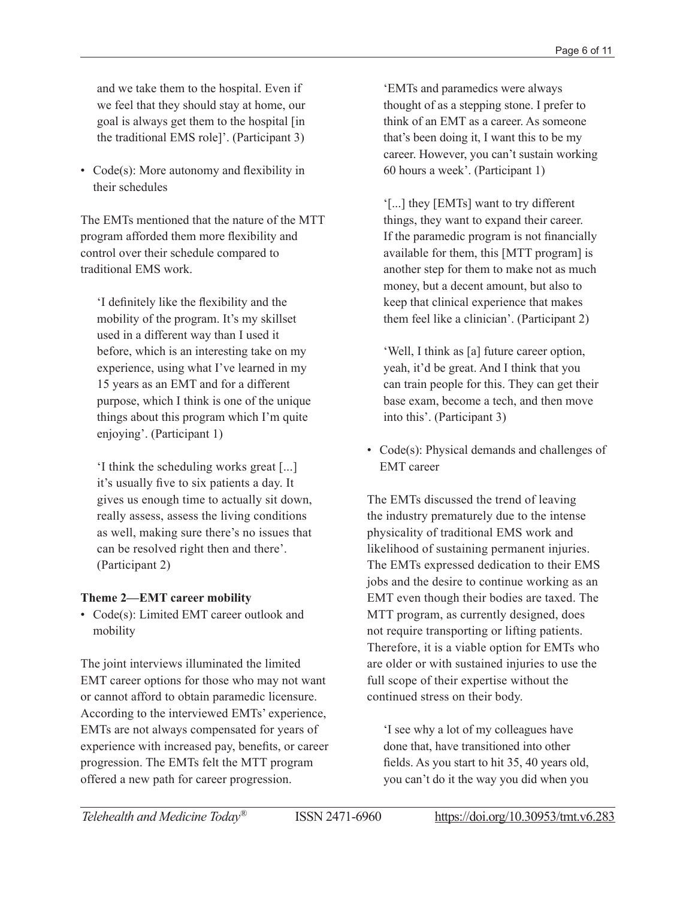and we take them to the hospital. Even if we feel that they should stay at home, our goal is always get them to the hospital [in the traditional EMS role]'. (Participant 3)

• Code(s): More autonomy and flexibility in their schedules

The EMTs mentioned that the nature of the MTT program afforded them more flexibility and control over their schedule compared to traditional EMS work.

'I definitely like the flexibility and the mobility of the program. It's my skillset used in a different way than I used it before, which is an interesting take on my experience, using what I've learned in my 15 years as an EMT and for a different purpose, which I think is one of the unique things about this program which I'm quite enjoying'. (Participant 1)

'I think the scheduling works great [...] it's usually five to six patients a day. It gives us enough time to actually sit down, really assess, assess the living conditions as well, making sure there's no issues that can be resolved right then and there'. (Participant 2)

# **Theme 2—EMT career mobility**

• Code(s): Limited EMT career outlook and mobility

The joint interviews illuminated the limited EMT career options for those who may not want or cannot afford to obtain paramedic licensure. According to the interviewed EMTs' experience, EMTs are not always compensated for years of experience with increased pay, benefits, or career progression. The EMTs felt the MTT program offered a new path for career progression.

'EMTs and paramedics were always thought of as a stepping stone. I prefer to think of an EMT as a career. As someone that's been doing it, I want this to be my career. However, you can't sustain working 60 hours a week'. (Participant 1)

'[...] they [EMTs] want to try different things, they want to expand their career. If the paramedic program is not financially available for them, this [MTT program] is another step for them to make not as much money, but a decent amount, but also to keep that clinical experience that makes them feel like a clinician'. (Participant 2)

'Well, I think as [a] future career option, yeah, it'd be great. And I think that you can train people for this. They can get their base exam, become a tech, and then move into this'. (Participant 3)

• Code(s): Physical demands and challenges of EMT career

The EMTs discussed the trend of leaving the industry prematurely due to the intense physicality of traditional EMS work and likelihood of sustaining permanent injuries. The EMTs expressed dedication to their EMS jobs and the desire to continue working as an EMT even though their bodies are taxed. The MTT program, as currently designed, does not require transporting or lifting patients. Therefore, it is a viable option for EMTs who are older or with sustained injuries to use the full scope of their expertise without the continued stress on their body.

'I see why a lot of my colleagues have done that, have transitioned into other fields. As you start to hit 35, 40 years old, you can't do it the way you did when you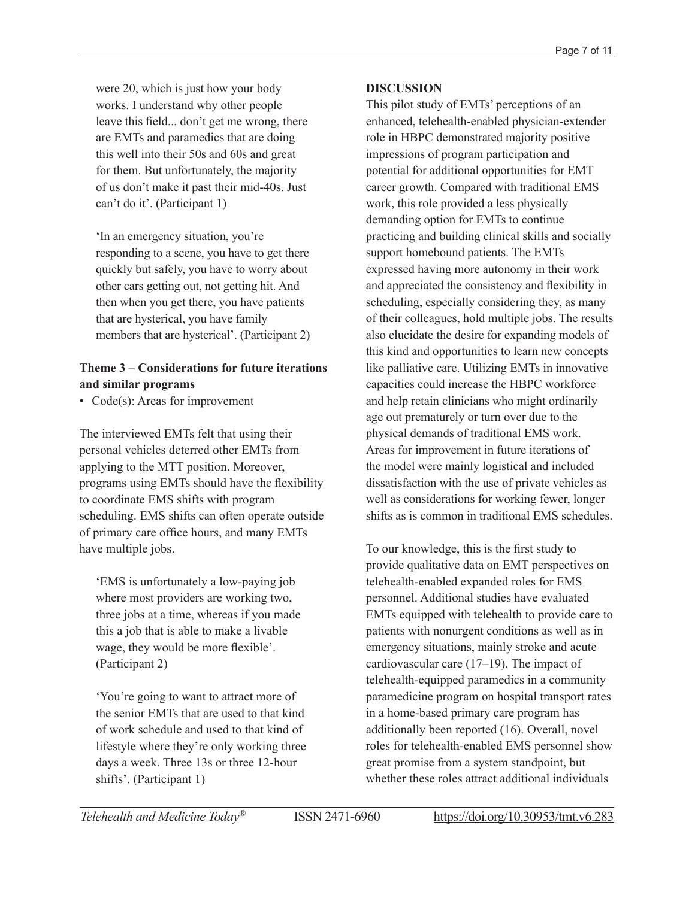were 20, which is just how your body works. I understand why other people leave this field... don't get me wrong, there are EMTs and paramedics that are doing this well into their 50s and 60s and great for them. But unfortunately, the majority of us don't make it past their mid-40s. Just can't do it'. (Participant 1)

'In an emergency situation, you're responding to a scene, you have to get there quickly but safely, you have to worry about other cars getting out, not getting hit. And then when you get there, you have patients that are hysterical, you have family members that are hysterical'. (Participant 2)

# **Theme 3 – Considerations for future iterations and similar programs**

• Code(s): Areas for improvement

The interviewed EMTs felt that using their personal vehicles deterred other EMTs from applying to the MTT position. Moreover, programs using EMTs should have the flexibility to coordinate EMS shifts with program scheduling. EMS shifts can often operate outside of primary care office hours, and many EMTs have multiple jobs.

'EMS is unfortunately a low-paying job where most providers are working two, three jobs at a time, whereas if you made this a job that is able to make a livable wage, they would be more flexible'. (Participant 2)

'You're going to want to attract more of the senior EMTs that are used to that kind of work schedule and used to that kind of lifestyle where they're only working three days a week. Three 13s or three 12-hour shifts'. (Participant 1)

### **DISCUSSION**

This pilot study of EMTs' perceptions of an enhanced, telehealth-enabled physician-extender role in HBPC demonstrated majority positive impressions of program participation and potential for additional opportunities for EMT career growth. Compared with traditional EMS work, this role provided a less physically demanding option for EMTs to continue practicing and building clinical skills and socially support homebound patients. The EMTs expressed having more autonomy in their work and appreciated the consistency and flexibility in scheduling, especially considering they, as many of their colleagues, hold multiple jobs. The results also elucidate the desire for expanding models of this kind and opportunities to learn new concepts like palliative care. Utilizing EMTs in innovative capacities could increase the HBPC workforce and help retain clinicians who might ordinarily age out prematurely or turn over due to the physical demands of traditional EMS work. Areas for improvement in future iterations of the model were mainly logistical and included dissatisfaction with the use of private vehicles as well as considerations for working fewer, longer shifts as is common in traditional EMS schedules.

To our knowledge, this is the first study to provide qualitative data on EMT perspectives on telehealth-enabled expanded roles for EMS personnel. Additional studies have evaluated EMTs equipped with telehealth to provide care to patients with nonurgent conditions as well as in emergency situations, mainly stroke and acute cardiovascular care (17–19). The impact of telehealth-equipped paramedics in a community paramedicine program on hospital transport rates in a home-based primary care program has additionally been reported (16). Overall, novel roles for telehealth-enabled EMS personnel show great promise from a system standpoint, but whether these roles attract additional individuals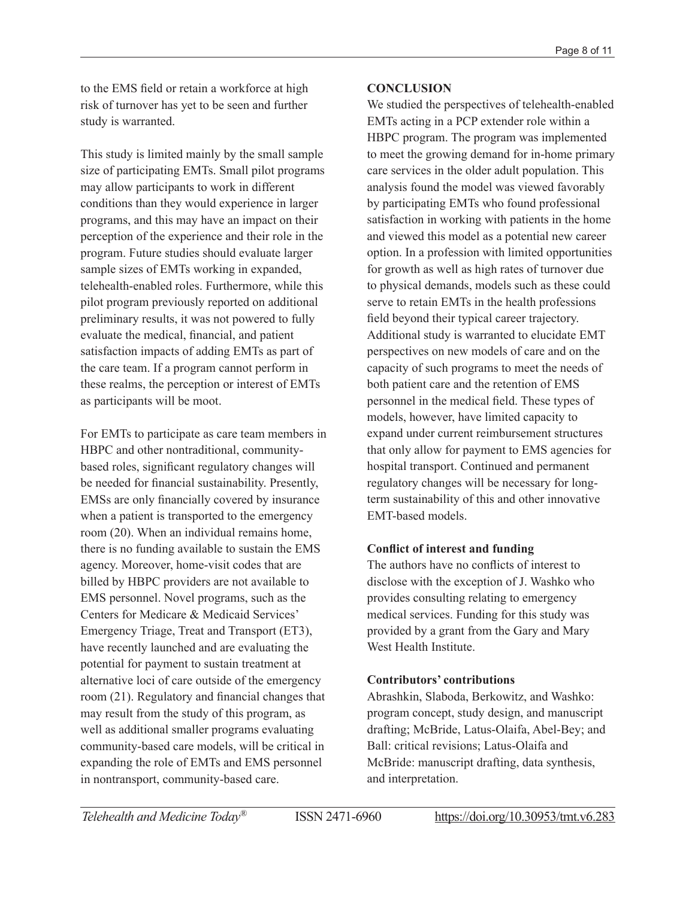to the EMS field or retain a workforce at high risk of turnover has yet to be seen and further study is warranted.

This study is limited mainly by the small sample size of participating EMTs. Small pilot programs may allow participants to work in different conditions than they would experience in larger programs, and this may have an impact on their perception of the experience and their role in the program. Future studies should evaluate larger sample sizes of EMTs working in expanded, telehealth-enabled roles. Furthermore, while this pilot program previously reported on additional preliminary results, it was not powered to fully evaluate the medical, financial, and patient satisfaction impacts of adding EMTs as part of the care team. If a program cannot perform in these realms, the perception or interest of EMTs as participants will be moot.

For EMTs to participate as care team members in HBPC and other nontraditional, communitybased roles, significant regulatory changes will be needed for financial sustainability. Presently, EMSs are only financially covered by insurance when a patient is transported to the emergency room (20). When an individual remains home, there is no funding available to sustain the EMS agency. Moreover, home-visit codes that are billed by HBPC providers are not available to EMS personnel. Novel programs, such as the Centers for Medicare & Medicaid Services' Emergency Triage, Treat and Transport (ET3), have recently launched and are evaluating the potential for payment to sustain treatment at alternative loci of care outside of the emergency room (21). Regulatory and financial changes that may result from the study of this program, as well as additional smaller programs evaluating community-based care models, will be critical in expanding the role of EMTs and EMS personnel in nontransport, community-based care.

# **CONCLUSION**

We studied the perspectives of telehealth-enabled EMTs acting in a PCP extender role within a HBPC program. The program was implemented to meet the growing demand for in-home primary care services in the older adult population. This analysis found the model was viewed favorably by participating EMTs who found professional satisfaction in working with patients in the home and viewed this model as a potential new career option. In a profession with limited opportunities for growth as well as high rates of turnover due to physical demands, models such as these could serve to retain EMTs in the health professions field beyond their typical career trajectory. Additional study is warranted to elucidate EMT perspectives on new models of care and on the capacity of such programs to meet the needs of both patient care and the retention of EMS personnel in the medical field. These types of models, however, have limited capacity to expand under current reimbursement structures that only allow for payment to EMS agencies for hospital transport. Continued and permanent regulatory changes will be necessary for longterm sustainability of this and other innovative EMT-based models.

# **Conflict of interest and funding**

The authors have no conflicts of interest to disclose with the exception of J. Washko who provides consulting relating to emergency medical services. Funding for this study was provided by a grant from the Gary and Mary West Health Institute

# **Contributors' contributions**

Abrashkin, Slaboda, Berkowitz, and Washko: program concept, study design, and manuscript drafting; McBride, Latus-Olaifa, Abel-Bey; and Ball: critical revisions; Latus-Olaifa and McBride: manuscript drafting, data synthesis, and interpretation.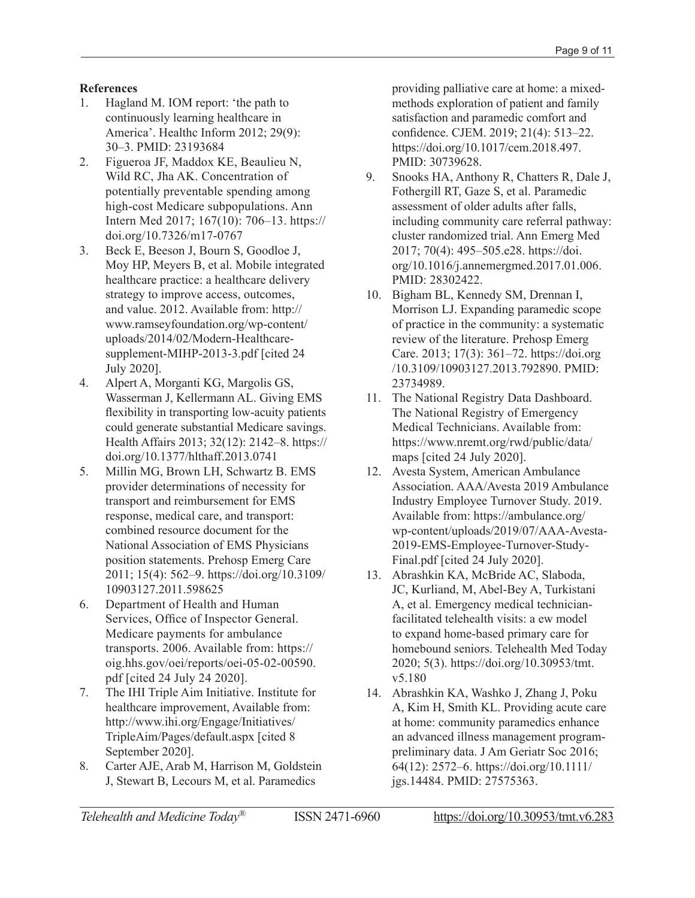## **References**

- 1. Hagland M. IOM report: 'the path to continuously learning healthcare in America'. Healthc Inform 2012; 29(9): 30–3. PMID: 23193684
- 2. Figueroa JF, Maddox KE, Beaulieu N, Wild RC, Jha AK. Concentration of potentially preventable spending among high-cost Medicare subpopulations. Ann Intern Med 2017; 167(10): 706–13. [https://](https://doi.org/10.7326/m17-0767) [doi.org/10.7326/m17-0767](https://doi.org/10.7326/m17-0767)
- 3. Beck E, Beeson J, Bourn S, Goodloe J, Moy HP, Meyers B, et al. Mobile integrated healthcare practice: a healthcare delivery strategy to improve access, outcomes, and value. 2012. Available from: [http://](http://www.ramseyfoundation.org/wp-content/uploads/2014/02/Modern-Healthcare-supplement-MIHP-2013-3.pdf) [www.ramseyfoundation.org/wp-content/](http://www.ramseyfoundation.org/wp-content/uploads/2014/02/Modern-Healthcare-supplement-MIHP-2013-3.pdf) [uploads/2014/02/Modern-Healthcare](http://www.ramseyfoundation.org/wp-content/uploads/2014/02/Modern-Healthcare-supplement-MIHP-2013-3.pdf)[supplement-MIHP-2013-3.pdf](http://www.ramseyfoundation.org/wp-content/uploads/2014/02/Modern-Healthcare-supplement-MIHP-2013-3.pdf) [cited 24 July 2020].
- 4. Alpert A, Morganti KG, Margolis GS, Wasserman J, Kellermann AL. Giving EMS flexibility in transporting low-acuity patients could generate substantial Medicare savings. Health Affairs 2013; 32(12): 2142–8. [https://](https://doi.org/10.1377/hlthaff.2013.0741) [doi.org/10.1377/hlthaff.2013.0741](https://doi.org/10.1377/hlthaff.2013.0741)
- 5. Millin MG, Brown LH, Schwartz B. EMS provider determinations of necessity for transport and reimbursement for EMS response, medical care, and transport: combined resource document for the National Association of EMS Physicians position statements. Prehosp Emerg Care 2011; 15(4): 562–9. [https://doi.org/10.3109/](https://doi.org/10.3109/10903127.2011.598625) [10903127.2011.598625](https://doi.org/10.3109/10903127.2011.598625)
- 6. Department of Health and Human Services, Office of Inspector General. Medicare payments for ambulance transports. 2006. Available from: [https://](https://oig.hhs.gov/oei/reports/oei-05-02-00590.pdf) [oig.hhs.gov/oei/reports/oei-05-02-00590.](https://oig.hhs.gov/oei/reports/oei-05-02-00590.pdf) [pdf](https://oig.hhs.gov/oei/reports/oei-05-02-00590.pdf) [cited 24 July 24 2020].
- 7. The IHI Triple Aim Initiative. Institute for healthcare improvement, Available from: [http://www.ihi.org/Engage/Initiatives/](http://www.ihi.org/Engage/Initiatives/TripleAim/Pages/default.aspx) [TripleAim/Pages/default.aspx](http://www.ihi.org/Engage/Initiatives/TripleAim/Pages/default.aspx) [cited 8 September 2020].
- 8. Carter AJE, Arab M, Harrison M, Goldstein J, Stewart B, Lecours M, et al. Paramedics

providing palliative care at home: a mixedmethods exploration of patient and family satisfaction and paramedic comfort and confidence. CJEM. 2019; 21(4): 513–22. [https://doi.org/10.1017/cem.2018.497.](https://doi.org/10.1017/cem.2018.497) PMID: 30739628.

- 9. Snooks HA, Anthony R, Chatters R, Dale J, Fothergill RT, Gaze S, et al. Paramedic assessment of older adults after falls, including community care referral pathway: cluster randomized trial. Ann Emerg Med 2017; 70(4): 495–505.e28. [https://doi.](https://doi.org/10.1016/j.annemergmed.2017.01.006) [org/10.1016/j.annemergmed.2017.01.006](https://doi.org/10.1016/j.annemergmed.2017.01.006). PMID: 28302422.
- 10. Bigham BL, Kennedy SM, Drennan I, Morrison LJ. Expanding paramedic scope of practice in the community: a systematic review of the literature. Prehosp Emerg Care. 2013; 17(3): 361–72. [https://doi.org](https://doi.org/10.3109/10903127.2013.792890) [/10.3109/10903127.2013.792890.](https://doi.org/10.3109/10903127.2013.792890) PMID: 23734989.
- 11. The National Registry Data Dashboard. The National Registry of Emergency Medical Technicians. Available from: [https://www.nremt.org/rwd/public/data/](https://www.nremt.org/rwd/public/data/maps) [maps](https://www.nremt.org/rwd/public/data/maps) [cited 24 July 2020].
- 12. Avesta System, American Ambulance Association. AAA/Avesta 2019 Ambulance Industry Employee Turnover Study. 2019. Available from: [https://ambulance.org/](https://ambulance.org/wp-content/uploads/2019/07/AAA-Avesta-2019-EMS-Employee-Turnover-Study-Final.pdf) [wp-content/uploads/2019/07/AAA-Avesta-](https://ambulance.org/wp-content/uploads/2019/07/AAA-Avesta-2019-EMS-Employee-Turnover-Study-Final.pdf)[2019-EMS-Employee-Turnover-Study-](https://ambulance.org/wp-content/uploads/2019/07/AAA-Avesta-2019-EMS-Employee-Turnover-Study-Final.pdf)[Final.pdf](https://ambulance.org/wp-content/uploads/2019/07/AAA-Avesta-2019-EMS-Employee-Turnover-Study-Final.pdf) [cited 24 July 2020].
- 13. Abrashkin KA, McBride AC, Slaboda, JC, Kurliand, M, Abel-Bey A, Turkistani A, et al. Emergency medical technicianfacilitated telehealth visits: a ew model to expand home-based primary care for homebound seniors. Telehealth Med Today 2020; 5(3). [https://doi.org/10.30953/tmt.](https://doi.org/10.30953/tmt.v5.180) [v5.180](https://doi.org/10.30953/tmt.v5.180)
- 14. Abrashkin KA, Washko J, Zhang J, Poku A, Kim H, Smith KL. Providing acute care at home: community paramedics enhance an advanced illness management programpreliminary data. J Am Geriatr Soc 2016; 64(12): 2572–6. [https://doi.org/10.1111/](https://doi.org/10.1111/jgs.14484) [jgs.14484.](https://doi.org/10.1111/jgs.14484) PMID: 27575363.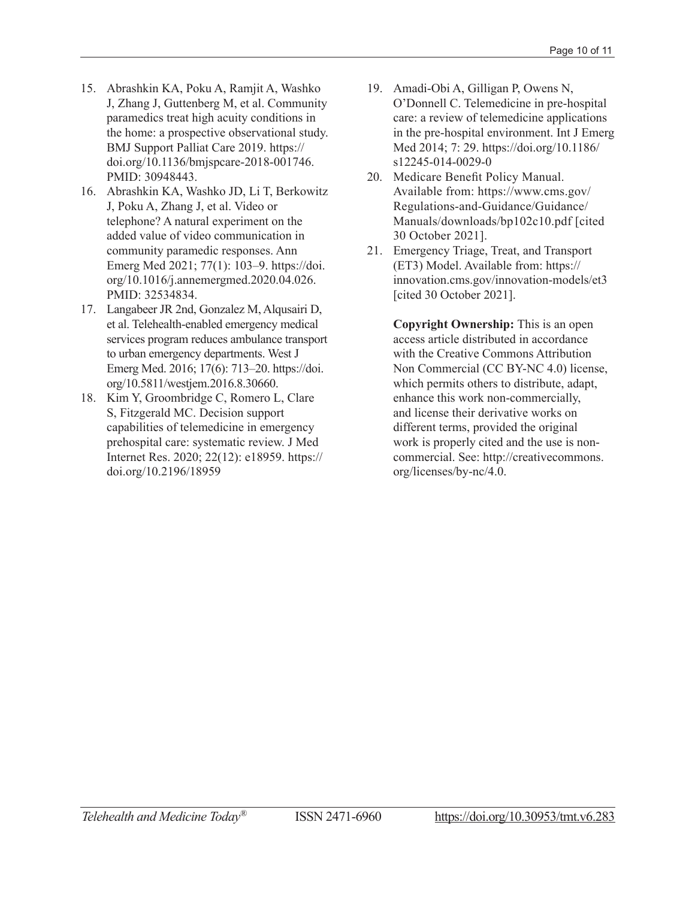- 15. Abrashkin KA, Poku A, Ramjit A, Washko J, Zhang J, Guttenberg M, et al. Community paramedics treat high acuity conditions in the home: a prospective observational study. BMJ Support Palliat Care 2019. [https://](https://doi.org/10.1136/bmjspcare-2018-001746) [doi.org/10.1136/bmjspcare-2018-001746](https://doi.org/10.1136/bmjspcare-2018-001746). PMID: 30948443.
- 16. Abrashkin KA, Washko JD, Li T, Berkowitz J, Poku A, Zhang J, et al. Video or telephone? A natural experiment on the added value of video communication in community paramedic responses. Ann Emerg Med 2021; 77(1): 103–9. [https://doi.](https://doi.org/10.1016/j.annemergmed.2020.04.026) [org/10.1016/j.annemergmed.2020.04.026.](https://doi.org/10.1016/j.annemergmed.2020.04.026) PMID: 32534834.
- 17. Langabeer JR 2nd, Gonzalez M, Alqusairi D, et al. Telehealth-enabled emergency medical services program reduces ambulance transport to urban emergency departments. West J Emerg Med. 2016; 17(6): 713–20. [https://doi.](https://doi.org/10.5811/westjem.2016.8.30660) [org/10.5811/westjem.2016.8.30660.](https://doi.org/10.5811/westjem.2016.8.30660)
- 18. Kim Y, Groombridge C, Romero L, Clare S, Fitzgerald MC. Decision support capabilities of telemedicine in emergency prehospital care: systematic review. J Med Internet Res. 2020; 22(12): e18959. [https://](https://doi.org/10.2196/18959) [doi.org/10.2196/18959](https://doi.org/10.2196/18959)
- 19. Amadi-Obi A, Gilligan P, Owens N, O'Donnell C. Telemedicine in pre-hospital care: a review of telemedicine applications in the pre-hospital environment. Int J Emerg Med 2014; 7: 29. [https://doi.org/10.1186/](https://doi.org/10.1186/s12245-014-0029-0) [s12245-014-0029-0](https://doi.org/10.1186/s12245-014-0029-0)
- 20. Medicare Benefit Policy Manual. Available from: [https://www.cms.gov/](https://www.cms.gov/Regulations-and-Guidance/Guidance/Manuals/downloads/bp102c10.pdf) [Regulations-and-Guidance/Guidance/](https://www.cms.gov/Regulations-and-Guidance/Guidance/Manuals/downloads/bp102c10.pdf) [Manuals/downloads/bp102c10.pdf](https://www.cms.gov/Regulations-and-Guidance/Guidance/Manuals/downloads/bp102c10.pdf) [cited 30 October 2021].
- 21. Emergency Triage, Treat, and Transport (ET3) Model. Available from: [https://](https://innovation.cms.gov/innovation-models/et3) [innovation.cms.gov/innovation-models/et3](https://innovation.cms.gov/innovation-models/et3) [cited 30 October 2021].

**Copyright Ownership:** This is an open access article distributed in accordance with the Creative Commons Attribution Non Commercial (CC BY-NC 4.0) license, which permits others to distribute, adapt, enhance this work non-commercially, and license their derivative works on different terms, provided the original work is properly cited and the use is noncommercial. See: [http://creativecommons.](http://creativecommons.org/licenses/by-nc/4.0) [org/licenses/by-nc/4.0.](http://creativecommons.org/licenses/by-nc/4.0)